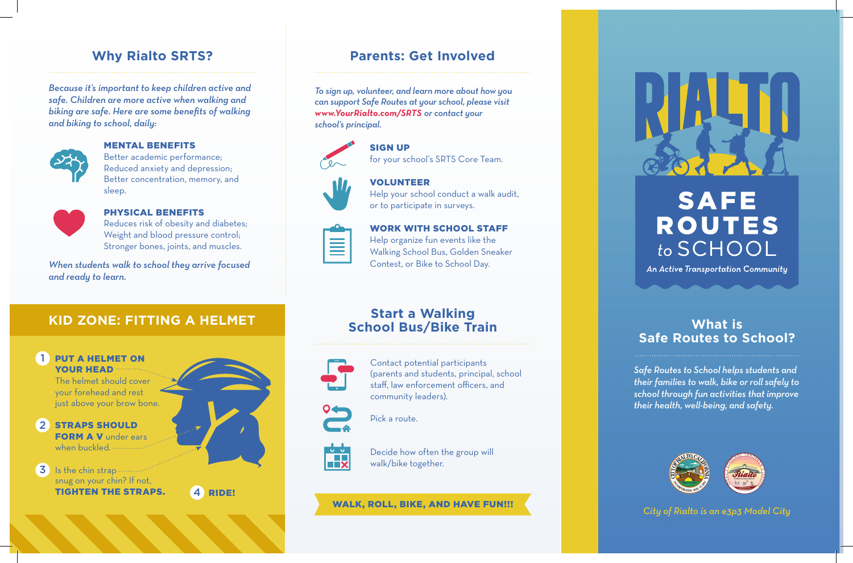### **Why Rialto SRTS?**

*Because it's important to keep children active and safe. Children are more active when walking and biking are safe. Here are some benefits of walking and biking to school, daily:*



#### MENTAL BENEFITS

Better academic performance; Reduced anxiety and depression; Better concentration, memory, and sleep.



#### PHYSICAL BENEFITS

Reduces risk of obesity and diabetes; Weight and blood pressure control; Stronger bones, joints, and muscles.

*When students walk to school they arrive focused and ready to learn.*

### **KID ZONE: FITTING A HELMET**



### **Parents: Get Involved**

*To sign up, volunteer, and learn more about how you can support Safe Routes at your school, please visit www.YourRialto.com/SRTS or contact your school's principal.*

SIGN UP



## for your school's SRTS Core Team. VOLUNTEER



 $\equiv$ 

### Help your school conduct a walk audit, or to participate in surveys.

#### WORK WITH SCHOOL STAFF

Help organize fun events like the Walking School Bus, Golden Sneaker Contest, or Bike to School Day.

### **Start a Walking School Bus/Bike Train**



Contact potential participants (parents and students, principal, school staff, law enforcement officers, and community leaders).

Pick a route.



Decide how often the group will walk/bike together.

### WALK, ROLL, BIKE, AND HAVE FUN!!! *City of Rialto is an e3p3 Model City*



# **SAFE ROUTES** to SCHOOL

An Active Transportation Community

### **What is Safe Routes to School?**

*Safe Routes to School helps students and their families to walk, bike or roll safely to school through fun activities that improve their health, well-being, and safety.*